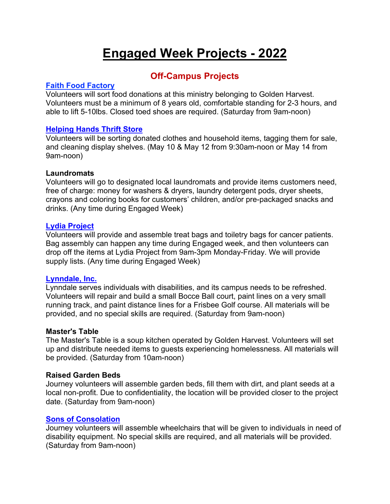# **Engaged Week Projects - 2022**

# **Off-Campus Projects**

# **Faith Food Factory**

Volunteers will sort food donations at this ministry belonging to Golden Harvest. Volunteers must be a minimum of 8 years old, comfortable standing for 2-3 hours, and able to lift 5-10lbs. Closed toed shoes are required. (Saturday from 9am-noon)

# **Helping Hands Thrift Store**

Volunteers will be sorting donated clothes and household items, tagging them for sale, and cleaning display shelves. (May 10 & May 12 from 9:30am-noon or May 14 from 9am-noon)

# **Laundromats**

Volunteers will go to designated local laundromats and provide items customers need, free of charge: money for washers & dryers, laundry detergent pods, dryer sheets, crayons and coloring books for customers' children, and/or pre-packaged snacks and drinks. (Any time during Engaged Week)

# **Lydia Project**

Volunteers will provide and assemble treat bags and toiletry bags for cancer patients. Bag assembly can happen any time during Engaged week, and then volunteers can drop off the items at Lydia Project from 9am-3pm Monday-Friday. We will provide supply lists. (Any time during Engaged Week)

# **Lynndale, Inc.**

Lynndale serves individuals with disabilities, and its campus needs to be refreshed. Volunteers will repair and build a small Bocce Ball court, paint lines on a very small running track, and paint distance lines for a Frisbee Golf course. All materials will be provided, and no special skills are required. (Saturday from 9am-noon)

# **Master's Table**

The Master's Table is a soup kitchen operated by Golden Harvest. Volunteers will set up and distribute needed items to guests experiencing homelessness. All materials will be provided. (Saturday from 10am-noon)

# **Raised Garden Beds**

Journey volunteers will assemble garden beds, fill them with dirt, and plant seeds at a local non-profit. Due to confidentiality, the location will be provided closer to the project date. (Saturday from 9am-noon)

# **Sons of Consolation**

Journey volunteers will assemble wheelchairs that will be given to individuals in need of disability equipment. No special skills are required, and all materials will be provided. (Saturday from 9am-noon)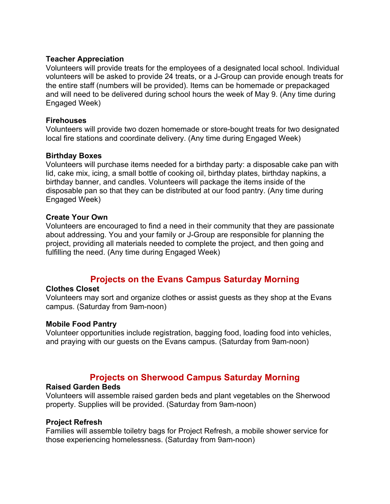### **Teacher Appreciation**

Volunteers will provide treats for the employees of a designated local school. Individual volunteers will be asked to provide 24 treats, or a J-Group can provide enough treats for the entire staff (numbers will be provided). Items can be homemade or prepackaged and will need to be delivered during school hours the week of May 9. (Any time during Engaged Week)

#### **Firehouses**

Volunteers will provide two dozen homemade or store-bought treats for two designated local fire stations and coordinate delivery. (Any time during Engaged Week)

### **Birthday Boxes**

Volunteers will purchase items needed for a birthday party: a disposable cake pan with lid, cake mix, icing, a small bottle of cooking oil, birthday plates, birthday napkins, a birthday banner, and candles. Volunteers will package the items inside of the disposable pan so that they can be distributed at our food pantry. (Any time during Engaged Week)

### **Create Your Own**

Volunteers are encouraged to find a need in their community that they are passionate about addressing. You and your family or J-Group are responsible for planning the project, providing all materials needed to complete the project, and then going and fulfilling the need. (Any time during Engaged Week)

# **Projects on the Evans Campus Saturday Morning**

#### **Clothes Closet**

Volunteers may sort and organize clothes or assist guests as they shop at the Evans campus. (Saturday from 9am-noon)

#### **Mobile Food Pantry**

Volunteer opportunities include registration, bagging food, loading food into vehicles, and praying with our guests on the Evans campus. (Saturday from 9am-noon)

# **Projects on Sherwood Campus Saturday Morning**

#### **Raised Garden Beds**

Volunteers will assemble raised garden beds and plant vegetables on the Sherwood property. Supplies will be provided. (Saturday from 9am-noon)

#### **Project Refresh**

Families will assemble toiletry bags for Project Refresh, a mobile shower service for those experiencing homelessness. (Saturday from 9am-noon)